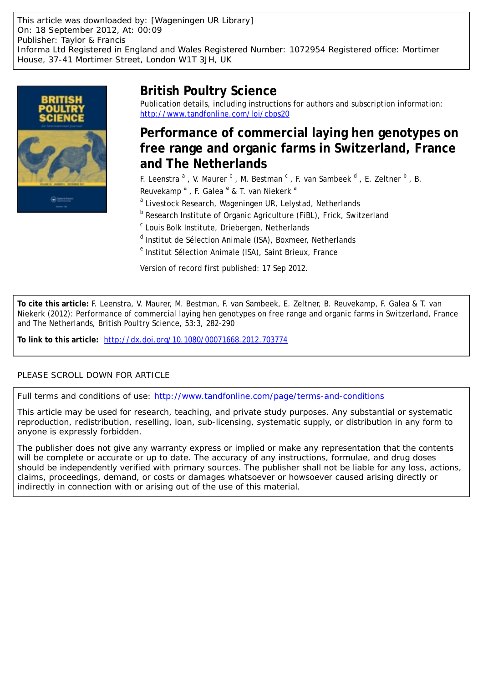This article was downloaded by: [Wageningen UR Library] On: 18 September 2012, At: 00:09 Publisher: Taylor & Francis Informa Ltd Registered in England and Wales Registered Number: 1072954 Registered office: Mortimer House, 37-41 Mortimer Street, London W1T 3JH, UK



# **British Poultry Science**

Publication details, including instructions for authors and subscription information: <http://www.tandfonline.com/loi/cbps20>

# **Performance of commercial laying hen genotypes on free range and organic farms in Switzerland, France and The Netherlands**

F. Leenstra <sup>a</sup> , V. Maurer <sup>b</sup> , M. Bestman <sup>c</sup> , F. van Sambeek <sup>d</sup> , E. Zeltner <sup>b</sup> , B. Reuvekamp<sup>a</sup>, F. Galea <sup>e</sup> & T. van Niekerk <sup>a</sup>

<sup>a</sup> Livestock Research, Wageningen UR, Lelystad, Netherlands

- <sup>b</sup> Research Institute of Organic Agriculture (FiBL), Frick, Switzerland
- <sup>c</sup> Louis Bolk Institute, Driebergen, Netherlands
- <sup>d</sup> Institut de Sélection Animale (ISA), Boxmeer, Netherlands
- <sup>e</sup> Institut Sélection Animale (ISA), Saint Brieux, France

Version of record first published: 17 Sep 2012.

**To cite this article:** F. Leenstra, V. Maurer, M. Bestman, F. van Sambeek, E. Zeltner, B. Reuvekamp, F. Galea & T. van Niekerk (2012): Performance of commercial laying hen genotypes on free range and organic farms in Switzerland, France and The Netherlands, British Poultry Science, 53:3, 282-290

**To link to this article:** <http://dx.doi.org/10.1080/00071668.2012.703774>

# PLEASE SCROLL DOWN FOR ARTICLE

Full terms and conditions of use:<http://www.tandfonline.com/page/terms-and-conditions>

This article may be used for research, teaching, and private study purposes. Any substantial or systematic reproduction, redistribution, reselling, loan, sub-licensing, systematic supply, or distribution in any form to anyone is expressly forbidden.

The publisher does not give any warranty express or implied or make any representation that the contents will be complete or accurate or up to date. The accuracy of any instructions, formulae, and drug doses should be independently verified with primary sources. The publisher shall not be liable for any loss, actions, claims, proceedings, demand, or costs or damages whatsoever or howsoever caused arising directly or indirectly in connection with or arising out of the use of this material.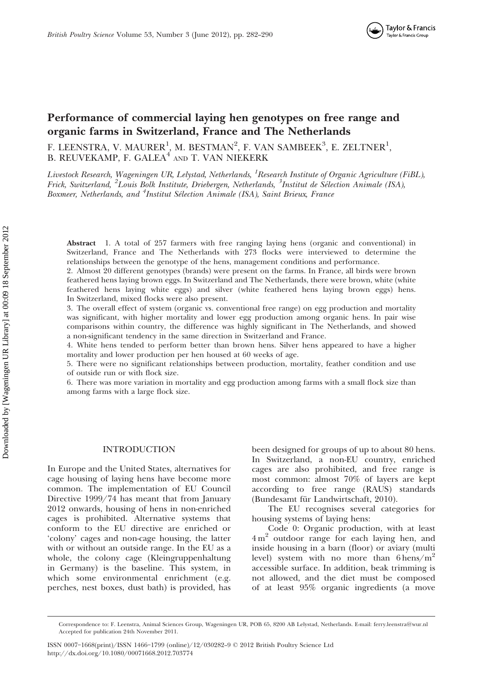# Performance of commercial laying hen genotypes on free range and organic farms in Switzerland, France and The Netherlands

F. LEENSTRA, V. MAURER<sup>1</sup>, M. BESTMAN<sup>2</sup>, F. VAN SAMBEEK<sup>3</sup>, E. ZELTNER<sup>1</sup>, B. REUVEKAMP, F. GALEA<sup>4</sup> AND T. VAN NIEKERK

Livestock Research, Wageningen UR, Lelystad, Netherlands, <sup>1</sup>Research Institute of Organic Agriculture (FiBL), Frick, Switzerland, <sup>2</sup>Louis Bolk Institute, Driebergen, Netherlands, <sup>3</sup>Institut de Sélection Animale (ISA), Boxmeer, Netherlands, and <sup>4</sup>Institut Sélection Animale (ISA), Saint Brieux, France

Abstract 1. A total of 257 farmers with free ranging laying hens (organic and conventional) in Switzerland, France and The Netherlands with 273 flocks were interviewed to determine the relationships between the genotype of the hens, management conditions and performance.

2. Almost 20 different genotypes (brands) were present on the farms. In France, all birds were brown feathered hens laying brown eggs. In Switzerland and The Netherlands, there were brown, white (white feathered hens laying white eggs) and silver (white feathered hens laying brown eggs) hens. In Switzerland, mixed flocks were also present.

3. The overall effect of system (organic vs. conventional free range) on egg production and mortality was significant, with higher mortality and lower egg production among organic hens. In pair wise comparisons within country, the difference was highly significant in The Netherlands, and showed a non-significant tendency in the same direction in Switzerland and France.

4. White hens tended to perform better than brown hens. Silver hens appeared to have a higher mortality and lower production per hen housed at 60 weeks of age.

5. There were no significant relationships between production, mortality, feather condition and use of outside run or with flock size.

6. There was more variation in mortality and egg production among farms with a small flock size than among farms with a large flock size.

## INTRODUCTION

In Europe and the United States, alternatives for cage housing of laying hens have become more common. The implementation of EU Council Directive 1999/74 has meant that from January 2012 onwards, housing of hens in non-enriched cages is prohibited. Alternative systems that conform to the EU directive are enriched or 'colony' cages and non-cage housing, the latter with or without an outside range. In the EU as a whole, the colony cage (Kleingruppenhaltung in Germany) is the baseline. This system, in which some environmental enrichment (e.g. perches, nest boxes, dust bath) is provided, has been designed for groups of up to about 80 hens. In Switzerland, a non-EU country, enriched cages are also prohibited, and free range is most common: almost 70% of layers are kept according to free range (RAUS) standards (Bundesamt für Landwirtschaft, 2010).

The EU recognises several categories for housing systems of laying hens:

Code 0: Organic production, with at least 4 m<sup>2</sup> outdoor range for each laying hen, and inside housing in a barn (floor) or aviary (multi level) system with no more than  $6 \text{ hens/m}^2$ accessible surface. In addition, beak trimming is not allowed, and the diet must be composed of at least 95% organic ingredients (a move

Correspondence to: F. Leenstra, Animal Sciences Group, Wageningen UR, POB 65, 8200 AB Lelystad, Netherlands. E-mail: ferry.leenstra@wur.nl Accepted for publication 24th November 2011.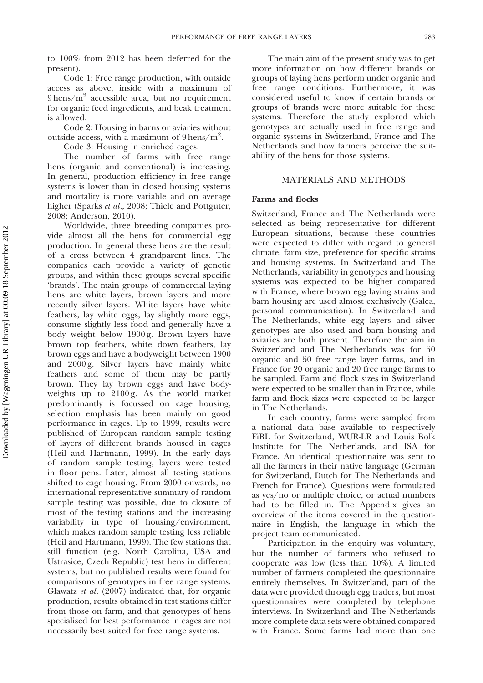to 100% from 2012 has been deferred for the present).

Code 1: Free range production, with outside access as above, inside with a maximum of  $9 \text{hens/m}^2$  accessible area, but no requirement for organic feed ingredients, and beak treatment is allowed.

Code 2: Housing in barns or aviaries without outside access, with a maximum of  $9 \text{ hens/m}^2$ .

Code 3: Housing in enriched cages.

The number of farms with free range hens (organic and conventional) is increasing. In general, production efficiency in free range systems is lower than in closed housing systems and mortality is more variable and on average higher (Sparks et al., 2008; Thiele and Pottgüter, 2008; Anderson, 2010).

Worldwide, three breeding companies provide almost all the hens for commercial egg production. In general these hens are the result of a cross between 4 grandparent lines. The companies each provide a variety of genetic groups, and within these groups several specific 'brands'. The main groups of commercial laying hens are white layers, brown layers and more recently silver layers. White layers have white feathers, lay white eggs, lay slightly more eggs, consume slightly less food and generally have a body weight below 1900 g. Brown layers have brown top feathers, white down feathers, lay brown eggs and have a bodyweight between 1900 and 2000 g. Silver layers have mainly white feathers and some of them may be partly brown. They lay brown eggs and have bodyweights up to 2100 g. As the world market predominantly is focussed on cage housing, selection emphasis has been mainly on good performance in cages. Up to 1999, results were published of European random sample testing of layers of different brands housed in cages (Heil and Hartmann, 1999). In the early days of random sample testing, layers were tested in floor pens. Later, almost all testing stations shifted to cage housing. From 2000 onwards, no international representative summary of random sample testing was possible, due to closure of most of the testing stations and the increasing variability in type of housing/environment, which makes random sample testing less reliable (Heil and Hartmann, 1999). The few stations that still function (e.g. North Carolina, USA and Ustrasice, Czech Republic) test hens in different systems, but no published results were found for comparisons of genotypes in free range systems. Glawatz et al. (2007) indicated that, for organic production, results obtained in test stations differ from those on farm, and that genotypes of hens specialised for best performance in cages are not necessarily best suited for free range systems.

The main aim of the present study was to get more information on how different brands or groups of laying hens perform under organic and free range conditions. Furthermore, it was considered useful to know if certain brands or groups of brands were more suitable for these systems. Therefore the study explored which genotypes are actually used in free range and organic systems in Switzerland, France and The Netherlands and how farmers perceive the suitability of the hens for those systems.

#### MATERIALS AND METHODS

#### Farms and flocks

Switzerland, France and The Netherlands were selected as being representative for different European situations, because these countries were expected to differ with regard to general climate, farm size, preference for specific strains and housing systems. In Switzerland and The Netherlands, variability in genotypes and housing systems was expected to be higher compared with France, where brown egg laying strains and barn housing are used almost exclusively (Galea, personal communication). In Switzerland and The Netherlands, white egg layers and silver genotypes are also used and barn housing and aviaries are both present. Therefore the aim in Switzerland and The Netherlands was for 50 organic and 50 free range layer farms, and in France for 20 organic and 20 free range farms to be sampled. Farm and flock sizes in Switzerland were expected to be smaller than in France, while farm and flock sizes were expected to be larger in The Netherlands.

In each country, farms were sampled from a national data base available to respectively FiBL for Switzerland, WUR-LR and Louis Bolk Institute for The Netherlands, and ISA for France. An identical questionnaire was sent to all the farmers in their native language (German for Switzerland, Dutch for The Netherlands and French for France). Questions were formulated as yes/no or multiple choice, or actual numbers had to be filled in. The Appendix gives an overview of the items covered in the questionnaire in English, the language in which the project team communicated.

Participation in the enquiry was voluntary, but the number of farmers who refused to cooperate was low (less than 10%). A limited number of farmers completed the questionnaire entirely themselves. In Switzerland, part of the data were provided through egg traders, but most questionnaires were completed by telephone interviews. In Switzerland and The Netherlands more complete data sets were obtained compared with France. Some farms had more than one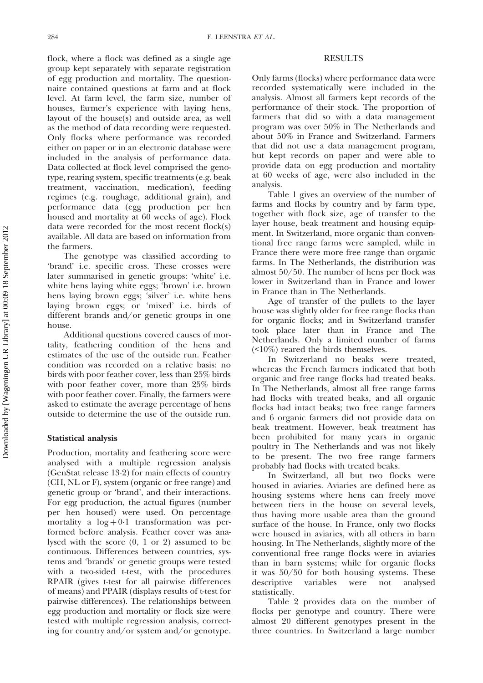flock, where a flock was defined as a single age group kept separately with separate registration of egg production and mortality. The questionnaire contained questions at farm and at flock level. At farm level, the farm size, number of houses, farmer's experience with laying hens, layout of the house(s) and outside area, as well as the method of data recording were requested. Only flocks where performance was recorded either on paper or in an electronic database were included in the analysis of performance data. Data collected at flock level comprised the genotype, rearing system, specific treatments (e.g. beak treatment, vaccination, medication), feeding regimes (e.g. roughage, additional grain), and performance data (egg production per hen housed and mortality at 60 weeks of age). Flock data were recorded for the most recent flock(s) available. All data are based on information from the farmers.

The genotype was classified according to 'brand' i.e. specific cross. These crosses were later summarised in genetic groups: 'white' i.e. white hens laying white eggs; 'brown' i.e. brown hens laying brown eggs; 'silver' i.e. white hens laying brown eggs; or 'mixed' i.e. birds of different brands and/or genetic groups in one house.

Additional questions covered causes of mortality, feathering condition of the hens and estimates of the use of the outside run. Feather condition was recorded on a relative basis: no birds with poor feather cover, less than 25% birds with poor feather cover, more than 25% birds with poor feather cover. Finally, the farmers were asked to estimate the average percentage of hens outside to determine the use of the outside run.

### Statistical analysis

Production, mortality and feathering score were analysed with a multiple regression analysis (GenStat release 13-2) for main effects of country (CH, NL or F), system (organic or free range) and genetic group or 'brand', and their interactions. For egg production, the actual figures (number per hen housed) were used. On percentage mortality a  $log+0.1$  transformation was performed before analysis. Feather cover was analysed with the score (0, 1 or 2) assumed to be continuous. Differences between countries, systems and 'brands' or genetic groups were tested with a two-sided t-test, with the procedures RPAIR (gives t-test for all pairwise differences of means) and PPAIR (displays results of t-test for pairwise differences). The relationships between egg production and mortality or flock size were tested with multiple regression analysis, correcting for country and/or system and/or genotype.

## RESULTS

Only farms (flocks) where performance data were recorded systematically were included in the analysis. Almost all farmers kept records of the performance of their stock. The proportion of farmers that did so with a data management program was over 50% in The Netherlands and about 50% in France and Switzerland. Farmers that did not use a data management program, but kept records on paper and were able to provide data on egg production and mortality at 60 weeks of age, were also included in the analysis.

Table 1 gives an overview of the number of farms and flocks by country and by farm type, together with flock size, age of transfer to the layer house, beak treatment and housing equipment. In Switzerland, more organic than conventional free range farms were sampled, while in France there were more free range than organic farms. In The Netherlands, the distribution was almost 50/50. The number of hens per flock was lower in Switzerland than in France and lower in France than in The Netherlands.

Age of transfer of the pullets to the layer house was slightly older for free range flocks than for organic flocks; and in Switzerland transfer took place later than in France and The Netherlands. Only a limited number of farms (<10%) reared the birds themselves.

In Switzerland no beaks were treated, whereas the French farmers indicated that both organic and free range flocks had treated beaks. In The Netherlands, almost all free range farms had flocks with treated beaks, and all organic flocks had intact beaks; two free range farmers and 6 organic farmers did not provide data on beak treatment. However, beak treatment has been prohibited for many years in organic poultry in The Netherlands and was not likely to be present. The two free range farmers probably had flocks with treated beaks.

In Switzerland, all but two flocks were housed in aviaries. Aviaries are defined here as housing systems where hens can freely move between tiers in the house on several levels, thus having more usable area than the ground surface of the house. In France, only two flocks were housed in aviaries, with all others in barn housing. In The Netherlands, slightly more of the conventional free range flocks were in aviaries than in barn systems; while for organic flocks it was 50/50 for both housing systems. These descriptive variables were not analysed statistically.

Table 2 provides data on the number of flocks per genotype and country. There were almost 20 different genotypes present in the three countries. In Switzerland a large number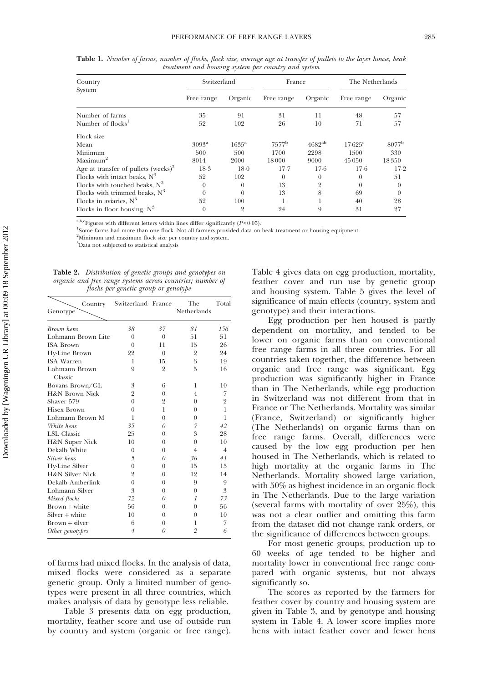| Country<br>System                               | Switzerland    |                     | France         |             | The Netherlands |                   |
|-------------------------------------------------|----------------|---------------------|----------------|-------------|-----------------|-------------------|
|                                                 | Free range     | Organic             | Free range     | Organic     | Free range      | Organic           |
| Number of farms                                 | 35             | 91                  | 31             | 11          | 48              | 57                |
| Number of flocks <sup>1</sup>                   | 52             | 102                 | 26             | 10          | 71              | 57                |
| Flock size                                      |                |                     |                |             |                 |                   |
| Mean                                            | $3093^{\rm a}$ | $1635^{\mathrm{a}}$ | $7577^{\rm b}$ | $4682^{ab}$ | $17625^{\circ}$ | 8077 <sup>b</sup> |
| Minimum                                         | 500            | 500                 | 1700           | 2298        | 1500            | 330               |
| Maximum <sup>2</sup>                            | 8014           | 2000                | 18000          | 9000        | 45 0 50         | 18350             |
| Age at transfer of pullets (weeks) <sup>3</sup> | 18.3           | $18-0$              | $17-7$         | 17.6        | $17-6$          | 17.2              |
| Flocks with intact beaks, $N^3$                 | 52             | 102                 | $\Omega$       | $\Omega$    | $\theta$        | 51                |
| Flocks with touched beaks, $N^3$                | $\Omega$       | $\theta$            | 13             | 2           | $\theta$        | $\Omega$          |
| Flocks with trimmed beaks, $N^3$                | $\Omega$       | 0                   | 13             | 8           | 69              | $\Omega$          |
| Flocks in aviaries, $N^3$                       | 52             | 100                 |                |             | 40              | 28                |
| Flocks in floor housing, $N^3$                  | $\Omega$       | $\overline{2}$      | 24             | 9           | 31              | 27                |

Table 1. Number of farms, number of flocks, flock size, average age at transfer of pullets to the layer house, beak treatment and housing system per country and system

a,b,cFigures with different letters within lines differ significantly  $(P<0.05)$ .

1 Some farms had more than one flock. Not all farmers provided data on beak treatment or housing equipment.

<sup>2</sup>Minimum and maximum flock size per country and system.

<sup>3</sup>Data not subjected to statistical analysis

Table 2. Distribution of genetic groups and genotypes on organic and free range systems across countries; number of flocks per genetic group or genotype

| Country<br>Genotype        | Switzerland France |                | <b>The</b><br>Netherlands | Total          |
|----------------------------|--------------------|----------------|---------------------------|----------------|
| Brown hens                 | 38                 | 37             | 81                        | 156            |
| Lohmann Brown Lite         | $\theta$           | $\theta$       | 51                        | 51             |
| <b>ISA Brown</b>           | 0                  | 11             | 15                        | 26             |
| Hy-Line Brown              | 22                 | $\theta$       | 2                         | 24             |
| <b>ISA Warren</b>          | 1                  | 15             | 3                         | 19             |
| Lohmann Brown<br>Classic   | 9                  | $\overline{2}$ | 5                         | 16             |
| Bovans Brown/GL            | 3                  | 6              | 1                         | 10             |
| <b>H&amp;N Brown Nick</b>  | 2                  | $\theta$       | 4                         | 7              |
| Shaver 579                 | $\theta$           | $\overline{2}$ | $\Omega$                  | $\overline{2}$ |
| Hisex Brown                | $\theta$           | 1              | 0                         | $\mathbf{1}$   |
| Lohmann Brown M            | 1                  | $\Omega$       | 0                         | 1              |
| White hens                 | 35                 | $\theta$       | 7                         | 42             |
| <b>LSL</b> Classic         | 25                 | $\Omega$       | 3                         | 28             |
| <b>H&amp;N Super Nick</b>  | 10                 | $\theta$       | $\Omega$                  | 10             |
| Dekalb White               | $\theta$           | $\theta$       | $\overline{4}$            | $\overline{4}$ |
| Silver hens                | 5                  | 0              | 36                        | 41             |
| Hy-Line Silver             | $\theta$           | $\theta$       | 15                        | 15             |
| <b>H&amp;N Silver Nick</b> | $\overline{2}$     | $\Omega$       | 12                        | 14             |
| Dekalb Amberlink           | $\overline{0}$     | $\theta$       | 9                         | 9              |
| Lohmann Silver             | 3                  | $\Omega$       | 0                         | 3              |
| Mixed flocks               | 72                 | 0              | 1                         | 73             |
| $Brown + white$            | 56                 | $\theta$       | 0                         | 56             |
| $Silver + white$           | 10                 | $\theta$       | $\Omega$                  | 10             |
| $Brown + silver$           | 6                  | $\Omega$       | 1                         | 7              |
| Other genotypes            | 4                  | 0              | $\overline{2}$            | 6              |

of farms had mixed flocks. In the analysis of data, mixed flocks were considered as a separate genetic group. Only a limited number of genotypes were present in all three countries, which makes analysis of data by genotype less reliable.

Table 3 presents data on egg production, mortality, feather score and use of outside run by country and system (organic or free range). Table 4 gives data on egg production, mortality, feather cover and run use by genetic group and housing system. Table 5 gives the level of significance of main effects (country, system and genotype) and their interactions.

Egg production per hen housed is partly dependent on mortality, and tended to be lower on organic farms than on conventional free range farms in all three countries. For all countries taken together, the difference between organic and free range was significant. Egg production was significantly higher in France than in The Netherlands, while egg production in Switzerland was not different from that in France or The Netherlands. Mortality was similar (France, Switzerland) or significantly higher (The Netherlands) on organic farms than on free range farms. Overall, differences were caused by the low egg production per hen housed in The Netherlands, which is related to high mortality at the organic farms in The Netherlands. Mortality showed large variation, with 50% as highest incidence in an organic flock in The Netherlands. Due to the large variation (several farms with mortality of over 25%), this was not a clear outlier and omitting this farm from the dataset did not change rank orders, or the significance of differences between groups.

For most genetic groups, production up to 60 weeks of age tended to be higher and mortality lower in conventional free range compared with organic systems, but not always significantly so.

The scores as reported by the farmers for feather cover by country and housing system are given in Table 3, and by genotype and housing system in Table 4. A lower score implies more hens with intact feather cover and fewer hens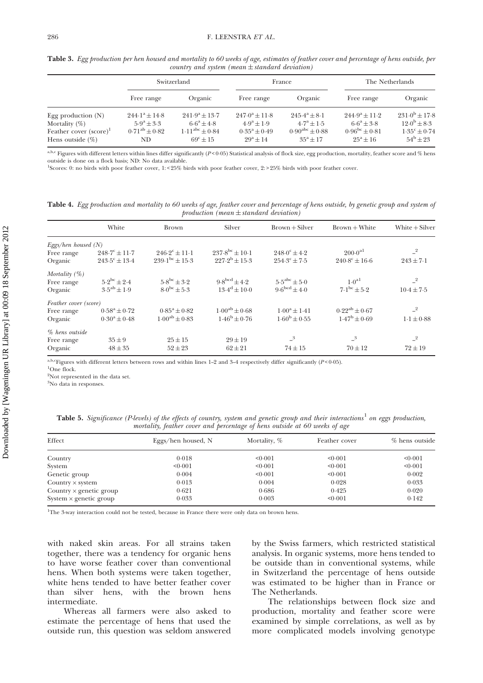|                                                        | Switzerland                                             |                                             | France                                          |                                                  | The Netherlands                           |                                              |  |
|--------------------------------------------------------|---------------------------------------------------------|---------------------------------------------|-------------------------------------------------|--------------------------------------------------|-------------------------------------------|----------------------------------------------|--|
|                                                        | Free range                                              | Organic                                     | Free range                                      | Organic                                          | Free range                                | Organic                                      |  |
| Egg production $(N)$<br>Mortality (%)                  | $244 \cdot 1^a \pm 14 \cdot 8$<br>$5.9^{\rm a} \pm 3.3$ | $241.9^a \pm 13.7$<br>$6.6^{\rm a} \pm 4.8$ | $247.0^{\circ} \pm 11.8$<br>$4.9^{\rm a} + 1.9$ | $245.4^{\circ} \pm 8.1$<br>$4.7^{\rm a} \pm 1.5$ | $244.9^a \pm 11.2$<br>$6.6^a \pm 3.8$     | $231.0^{b} \pm 17.8$<br>$12.0^{\rm b} + 8.3$ |  |
| Feather cover (score) <sup>1</sup><br>Hens outside (%) | $0.71^{ab} \pm 0.82$<br>ND                              | $1.11^{abc} \pm 0.84$<br>$69^{\circ}$ + 15  | $0.35^a \pm 0.49$<br>$29^a \pm 14$              | $0.90^{abc} \pm 0.88$<br>$35^{\rm a} \pm 17$     | $0.96^{bc} \pm 0.81$<br>$25^{\rm a} + 16$ | $1.35^{\circ} \pm 0.74$<br>$54^{\rm b} + 23$ |  |

Table 3. Egg production per hen housed and mortality to 60 weeks of age, estimates of feather cover and percentage of hens outside, per country and system (mean  $\pm$  standard deviation)

 $a,b,c$  Figures with different letters within lines differ significantly (P<0.05) Statistical analysis of flock size, egg production, mortality, feather score and % hens outside is done on a flock basis; ND: No data available.

1 Scores: 0: no birds with poor feather cover, 1: < 25% birds with poor feather cover, 2: > 25% birds with poor feather cover.

Table 4. Egg production and mortality to 60 weeks of age, feather cover and percentage of hens outside, by genetic group and system of production (mean  $\pm$  standard deviation)

|                         | White                    | <b>Brown</b>             | Silver                     | $Brown + Silver$        | $Brown + White$          | White $+$ Silver          |
|-------------------------|--------------------------|--------------------------|----------------------------|-------------------------|--------------------------|---------------------------|
| $Eggs/hen$ housed $(N)$ |                          |                          |                            |                         |                          |                           |
| Free range              | $248.7^{\circ} \pm 11.7$ | $246.2^{\circ} \pm 11.1$ | $237.8^{bc} \pm 10.1$      | $248.0^{\circ} \pm 4.2$ | $200 \cdot 0^{a1}$       | $\mathbf{r}^2$            |
| Organic                 | $243.5^{\circ} \pm 13.4$ | $239.1^{bc}$ + 15.3      | $227.2^b + 15.3$           | $254.3^{\circ} \pm 7.5$ | $240.8^{\circ} \pm 16.6$ | $243 \pm 7.1$             |
| Mortality $(\%)$        |                          |                          |                            |                         |                          |                           |
| Free range              | $5.2^{bc} + 2.4$         | $5.8^{bc} \pm 3.2$       | $9.8^{\text{bcd}} \pm 4.2$ | $5.5^{\rm abc} \pm 5.0$ | $1.0^{a1}$               | $\mathbf{r}^2$            |
| Organic                 | $3.5^{ab} \pm 1.9$       | $8.0^{bc} \pm 5.3$       | $13.4^d \pm 10.0$          | $9.6^{bcd} + 4.0$       | $7.1^{bc} + 5.2$         | $10.4 \pm 7.5$            |
| Feather cover (score)   |                          |                          |                            |                         |                          |                           |
| Free range              | $0.58^{\rm a} \pm 0.72$  | $0.85^a \pm 0.82$        | $1.00^{ab} \pm 0.68$       | $1.00^a \pm 1.41$       | $0.22^{ab} \pm 0.67$     | $\overline{\phantom{0}2}$ |
| Organic                 | $0.30^{\rm a} \pm 0.48$  | $1.00^{ab} \pm 0.83$     | $1.46^{\rm b} \pm 0.76$    | $1.60^{\rm b} \pm 0.55$ | $1.47^{\rm b} \pm 0.69$  | $1.1 \pm 0.88$            |
| % hens outside          |                          |                          |                            |                         |                          |                           |
| Free range              | $35 \pm 9$               | $25 \pm 15$              | $29 \pm 19$                | $-$ <sup>3</sup>        | $\mathbf{r}^3$           | $\frac{2}{5}$             |
| Organic                 | $48 \pm 35$              | $52 \pm 23$              | $62 \pm 21$                | $74 \pm 15$             | $70 \pm 12$              | $72 \pm 19$               |

a,b,cFigures with different letters between rows and within lines  $1-2$  and  $3-4$  respectively differ significantly ( $P < 0.05$ ).

1 One flock.

<sup>2</sup>Not represented in the data set.

3 No data in responses.

|--|

| Effect                         | Eggs/hen housed, $N$ | Mortality, % | Feather cover | % hens outside |
|--------------------------------|----------------------|--------------|---------------|----------------|
| Country                        | 0.018                | 0.001        | 0.001         | 0.001          |
| System                         | < 0.001              | 0.001        | 0.001         | 0.001          |
| Genetic group                  | 0.004                | 0.001        | 0.001         | 0.002          |
| Country $\times$ system        | 0.013                | 0.004        | 0.028         | 0.033          |
| Country $\times$ genetic group | 0.621                | 0.686        | 0.425         | 0.020          |
| System $\times$ genetic group  | 0.033                | 0.003        | 0.001         | 0.142          |

<sup>1</sup>The 3-way interaction could not be tested, because in France there were only data on brown hens.

with naked skin areas. For all strains taken together, there was a tendency for organic hens to have worse feather cover than conventional hens. When both systems were taken together, white hens tended to have better feather cover than silver hens, with the brown hens intermediate.

Whereas all farmers were also asked to estimate the percentage of hens that used the outside run, this question was seldom answered by the Swiss farmers, which restricted statistical analysis. In organic systems, more hens tended to be outside than in conventional systems, while in Switzerland the percentage of hens outside was estimated to be higher than in France or The Netherlands.

The relationships between flock size and production, mortality and feather score were examined by simple correlations, as well as by more complicated models involving genotype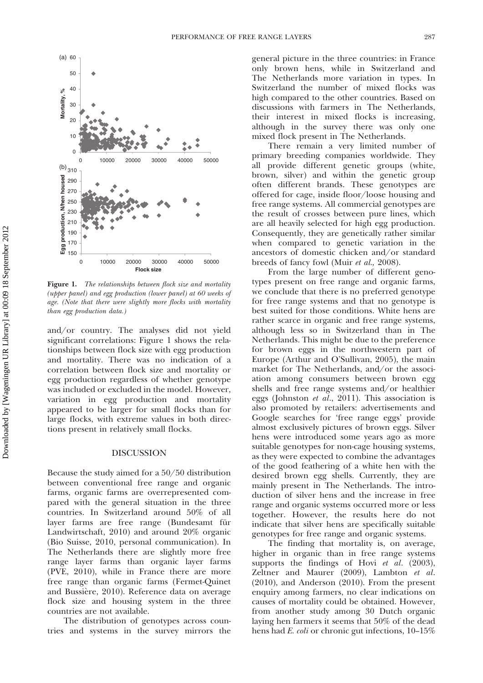

Figure 1. The relationships between flock size and mortality (upper panel) and egg production (lower panel) at 60 weeks of age. (Note that there were slightly more flocks with mortality than egg production data.)

and/or country. The analyses did not yield significant correlations: Figure 1 shows the relationships between flock size with egg production and mortality. There was no indication of a correlation between flock size and mortality or egg production regardless of whether genotype was included or excluded in the model. However, variation in egg production and mortality appeared to be larger for small flocks than for large flocks, with extreme values in both directions present in relatively small flocks.

#### DISCUSSION

Because the study aimed for a 50/50 distribution between conventional free range and organic farms, organic farms are overrepresented compared with the general situation in the three countries. In Switzerland around 50% of all layer farms are free range (Bundesamt für Landwirtschaft, 2010) and around 20% organic (Bio Suisse, 2010, personal communication). In The Netherlands there are slightly more free range layer farms than organic layer farms (PVE, 2010), while in France there are more free range than organic farms (Fermet-Quinet and Bussière, 2010). Reference data on average flock size and housing system in the three countries are not available.

The distribution of genotypes across countries and systems in the survey mirrors the general picture in the three countries: in France only brown hens, while in Switzerland and The Netherlands more variation in types. In Switzerland the number of mixed flocks was high compared to the other countries. Based on discussions with farmers in The Netherlands, their interest in mixed flocks is increasing, although in the survey there was only one mixed flock present in The Netherlands.

There remain a very limited number of primary breeding companies worldwide. They all provide different genetic groups (white, brown, silver) and within the genetic group often different brands. These genotypes are offered for cage, inside floor/loose housing and free range systems. All commercial genotypes are the result of crosses between pure lines, which are all heavily selected for high egg production. Consequently, they are genetically rather similar when compared to genetic variation in the ancestors of domestic chicken and/or standard breeds of fancy fowl (Muir et al., 2008).

From the large number of different genotypes present on free range and organic farms, we conclude that there is no preferred genotype for free range systems and that no genotype is best suited for those conditions. White hens are rather scarce in organic and free range systems, although less so in Switzerland than in The Netherlands. This might be due to the preference for brown eggs in the northwestern part of Europe (Arthur and O'Sullivan, 2005), the main market for The Netherlands, and/or the association among consumers between brown egg shells and free range systems and/or healthier eggs (Johnston et al., 2011). This association is also promoted by retailers: advertisements and Google searches for 'free range eggs' provide almost exclusively pictures of brown eggs. Silver hens were introduced some years ago as more suitable genotypes for non-cage housing systems, as they were expected to combine the advantages of the good feathering of a white hen with the desired brown egg shells. Currently, they are mainly present in The Netherlands. The introduction of silver hens and the increase in free range and organic systems occurred more or less together. However, the results here do not indicate that silver hens are specifically suitable genotypes for free range and organic systems.

The finding that mortality is, on average, higher in organic than in free range systems supports the findings of Hovi et al.  $(2003)$ , Zeltner and Maurer (2009), Lambton et al. (2010), and Anderson (2010). From the present enquiry among farmers, no clear indications on causes of mortality could be obtained. However, from another study among 30 Dutch organic laying hen farmers it seems that 50% of the dead hens had E. coli or chronic gut infections, 10—15%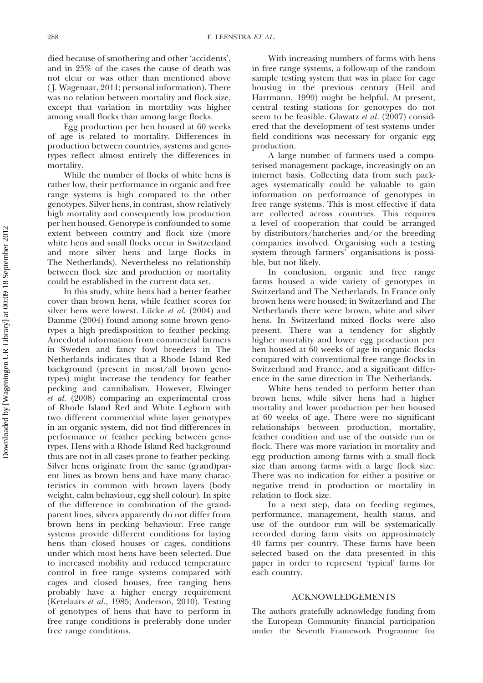died because of smothering and other 'accidents', and in 25% of the cases the cause of death was not clear or was other than mentioned above ( J. Wagenaar, 2011; personal information). There was no relation between mortality and flock size, except that variation in mortality was higher among small flocks than among large flocks.

Egg production per hen housed at 60 weeks of age is related to mortality. Differences in production between countries, systems and genotypes reflect almost entirely the differences in mortality.

While the number of flocks of white hens is rather low, their performance in organic and free range systems is high compared to the other genotypes. Silver hens, in contrast, show relatively high mortality and consequently low production per hen housed. Genotype is confounded to some extent between country and flock size (more white hens and small flocks occur in Switzerland and more silver hens and large flocks in The Netherlands). Nevertheless no relationship between flock size and production or mortality could be established in the current data set.

In this study, white hens had a better feather cover than brown hens, while feather scores for silver hens were lowest. Lücke *et al.*  $(2004)$  and Damme (2004) found among some brown genotypes a high predisposition to feather pecking. Anecdotal information from commercial farmers in Sweden and fancy fowl breeders in The Netherlands indicates that a Rhode Island Red background (present in most/all brown genotypes) might increase the tendency for feather pecking and cannibalism. However, Elwinger et al. (2008) comparing an experimental cross of Rhode Island Red and White Leghorn with two different commercial white layer genotypes in an organic system, did not find differences in performance or feather pecking between genotypes. Hens with a Rhode Island Red background thus are not in all cases prone to feather pecking. Silver hens originate from the same (grand)parent lines as brown hens and have many characteristics in common with brown layers (body weight, calm behaviour, egg shell colour). In spite of the difference in combination of the grandparent lines, silvers apparently do not differ from brown hens in pecking behaviour. Free range systems provide different conditions for laying hens than closed houses or cages, conditions under which most hens have been selected. Due to increased mobility and reduced temperature control in free range systems compared with cages and closed houses, free ranging hens probably have a higher energy requirement (Ketelaars et al., 1985; Anderson, 2010). Testing of genotypes of hens that have to perform in free range conditions is preferably done under free range conditions.

With increasing numbers of farms with hens in free range systems, a follow-up of the random sample testing system that was in place for cage housing in the previous century (Heil and Hartmann, 1999) might be helpful. At present, central testing stations for genotypes do not seem to be feasible. Glawatz et al. (2007) considered that the development of test systems under field conditions was necessary for organic egg production.

A large number of farmers used a computerised management package, increasingly on an internet basis. Collecting data from such packages systematically could be valuable to gain information on performance of genotypes in free range systems. This is most effective if data are collected across countries. This requires a level of cooperation that could be arranged by distributors/hatcheries and/or the breeding companies involved. Organising such a testing system through farmers' organisations is possible, but not likely.

In conclusion, organic and free range farms housed a wide variety of genotypes in Switzerland and The Netherlands. In France only brown hens were housed; in Switzerland and The Netherlands there were brown, white and silver hens. In Switzerland mixed flocks were also present. There was a tendency for slightly higher mortality and lower egg production per hen housed at 60 weeks of age in organic flocks compared with conventional free range flocks in Switzerland and France, and a significant difference in the same direction in The Netherlands.

White hens tended to perform better than brown hens, while silver hens had a higher mortality and lower production per hen housed at 60 weeks of age. There were no significant relationships between production, mortality, feather condition and use of the outside run or flock. There was more variation in mortality and egg production among farms with a small flock size than among farms with a large flock size. There was no indication for either a positive or negative trend in production or mortality in relation to flock size.

In a next step, data on feeding regimes, performance, management, health status, and use of the outdoor run will be systematically recorded during farm visits on approximately 40 farms per country. These farms have been selected based on the data presented in this paper in order to represent 'typical' farms for each country.

#### ACKNOWLEDGEMENTS

The authors gratefully acknowledge funding from the European Community financial participation under the Seventh Framework Programme for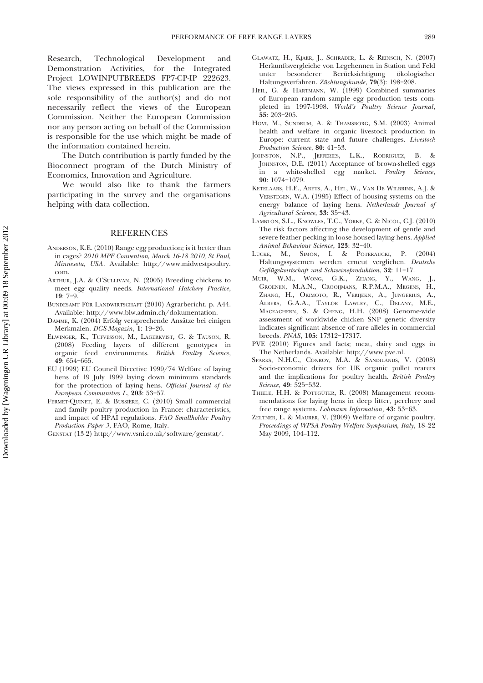Research, Technological Development and Demonstration Activities, for the Integrated Project LOWINPUTBREEDS FP7-CP-IP 222623. The views expressed in this publication are the sole responsibility of the author(s) and do not necessarily reflect the views of the European Commission. Neither the European Commission nor any person acting on behalf of the Commission is responsible for the use which might be made of the information contained herein.

The Dutch contribution is partly funded by the Bioconnect program of the Dutch Ministry of Economics, Innovation and Agriculture.

We would also like to thank the farmers participating in the survey and the organisations helping with data collection.

#### REFERENCES

- ANDERSON, K.E. (2010) Range egg production; is it better than in cages? 2010 MPF Convention, March 16-18 2010, St Paul, Minnesota, USA. Available: http://www.midwestpoultry. com.
- ARTHUR, J.A. & O'SULLIVAN, N. (2005) Breeding chickens to meet egg quality needs. International Hatchery Practice, 19: 7–9.
- BUNDESAMT FÜR LANDWIRTSCHAFT (2010) Agrarbericht. p. A44. Available: http://www.blw.admin.ch/dokumentation.
- DAMME, K. (2004) Erfolg versprechende Ansätze bei einigen Merkmalen. DGS-Magazin, 1: 19–26.
- ELWINGER, K., TUFVESSON, M., LAGERKVIST, G. & TAUSON, R. (2008) Feeding layers of different genotypes in organic feed environments. British Poultry Science, 49: 654–665.
- EU (1999) EU Council Directive 1999/74 Welfare of laying hens of 19 July 1999 laying down minimum standards for the protection of laying hens. Official Journal of the European Communities L, 203: 53–57.
- FERMET-QUINET, E. & BUSSIÈRE, C. (2010) Small commercial and family poultry production in France: characteristics, and impact of HPAI regulations. FAO Smallholder Poultry Production Paper 3, FAO, Rome, Italy.
- GENSTAT (13-2) http://www.vsni.co.uk/software/genstat/.
- GLAWATZ, H., KJAER, J., SCHRADER, L. & REINSCH, N. (2007) Herkunftsvergleiche von Legehennen in Station und Feld unter besonderer Berücksichtigung ökologischer Haltungsverfahren. Züchtungskunde, 79(3): 198-208.
- HEIL, G. & HARTMANN, W. (1999) Combined summaries of European random sample egg production tests completed in 1997-1998. World's Poultry Science Journal, 55: 203–205.
- HOVI, M., SUNDRUM, A. & THAMSBORG, S.M. (2003) Animal health and welfare in organic livestock production in Europe: current state and future challenges. Livestock Production Science, 80: 41–53.
- JOHNSTON, N.P., JEFFERIES, L.K., RODRIGUEZ, B. & JOHNSTON, D.E. (2011) Acceptance of brown-shelled eggs in a white-shelled egg market. Poultry Science, 90: 1074–1079.
- KETELAARS, H.E., ARETS, A., HEL, W., VAN DE WILBRINK, A.J. & VERSTEGEN, W.A. (1985) Effect of housing systems on the energy balance of laying hens. Netherlands Journal of Agricultural Science, 33: 35–43.
- LAMBTON, S.L., KNOWLES, T.C., YORKE, C. & NICOL, C.J. (2010) The risk factors affecting the development of gentle and severe feather pecking in loose housed laying hens. Applied Animal Behaviour Science, 123: 32–40.
- LÜCKE, M., SIMON, I. & POTERAUCKI, P. (2004) Haltungssystemen werden erneut verglichen. Deutsche Geflügelwirtschaft und Schweineproduktion, 32: 11-17.
- MUIR, W.M., WONG, G.K., ZHANG, Y., WANG, J., GROENEN, M.A.N., CROOIJMANS, R.P.M.A., MEGENS, H., ZHANG, H., OKIMOTO, R., VERIJEKN, A., JUNGERIUS, A., ALBERS, G.A.A., TAYLOR LAWLEY, C., DELANY, M.E., MACEACHERN, S. & CHENG, H.H. (2008) Genome-wide assessment of worldwide chicken SNP genetic diversity indicates significant absence of rare alleles in commercial breeds. PNAS, 105: 17312–17317.
- PVE (2010) Figures and facts; meat, dairy and eggs in The Netherlands. Available: http://www.pve.nl.
- SPARKS, N.H.C., CONROY, M.A. & SANDILANDS, V. (2008) Socio-economic drivers for UK organic pullet rearers and the implications for poultry health. British Poultry Science, 49: 525–532.
- THIELE, H.H. & POTTGÜTER, R. (2008) Management recommendations for laying hens in deep litter, perchery and free range systems. Lohmann Information, 43: 53–63.
- ZELTNER, E. & MAURER, V. (2009) Welfare of organic poultry. Proceedings of WPSA Poultry Welfare Symposium, Italy, 18—22 May 2009, 104—112.